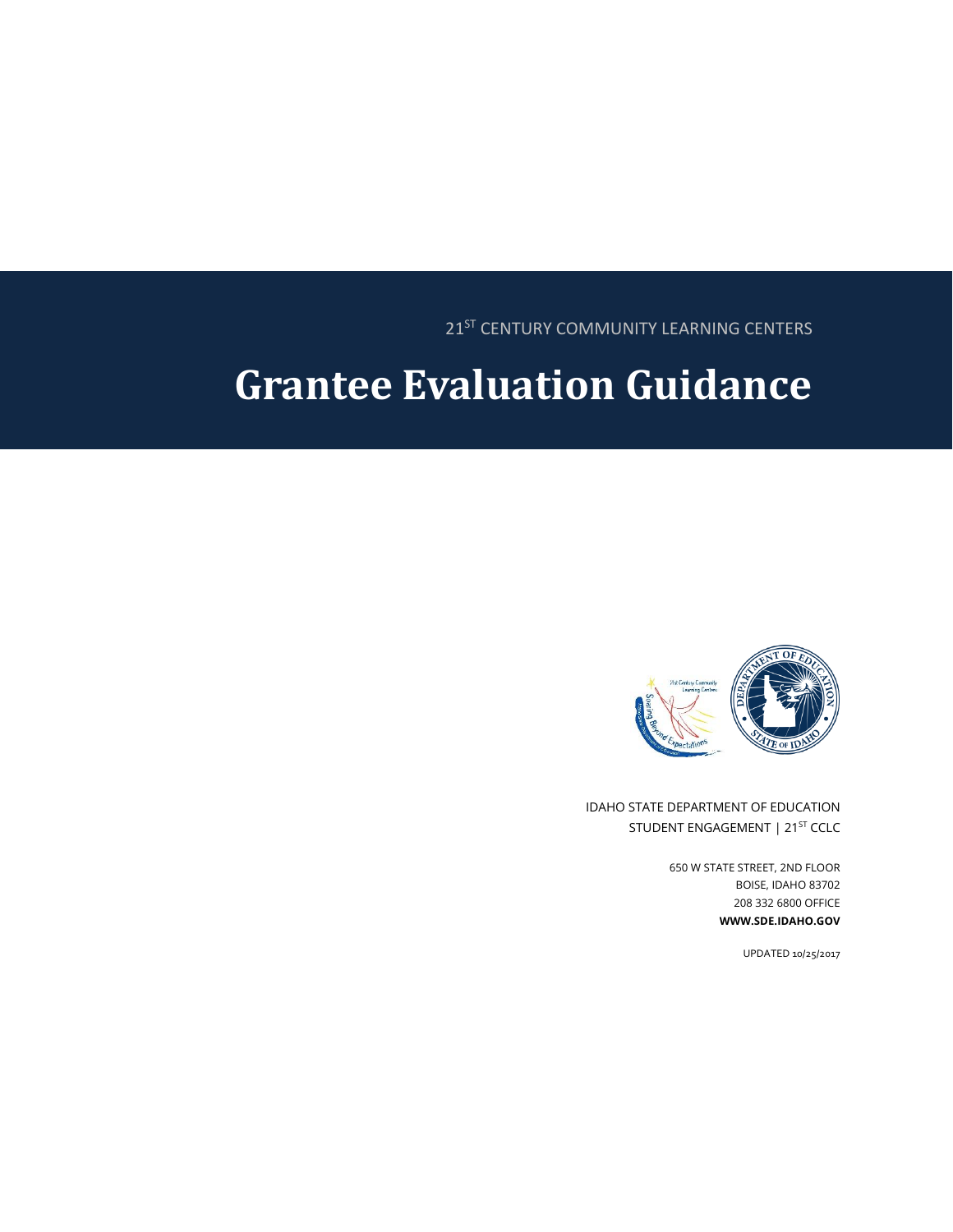21<sup>ST</sup> CENTURY COMMUNITY LEARNING CENTERS

# **Grantee Evaluation Guidance**



IDAHO STATE DEPARTMENT OF EDUCATION STUDENT ENGAGEMENT | 21<sup>ST</sup> CCLC

> 650 W STATE STREET, 2ND FLOOR BOISE, IDAHO 83702 208 332 6800 OFFICE **WWW.SDE.IDAHO.GOV**

> > UPDATED 10/25/2017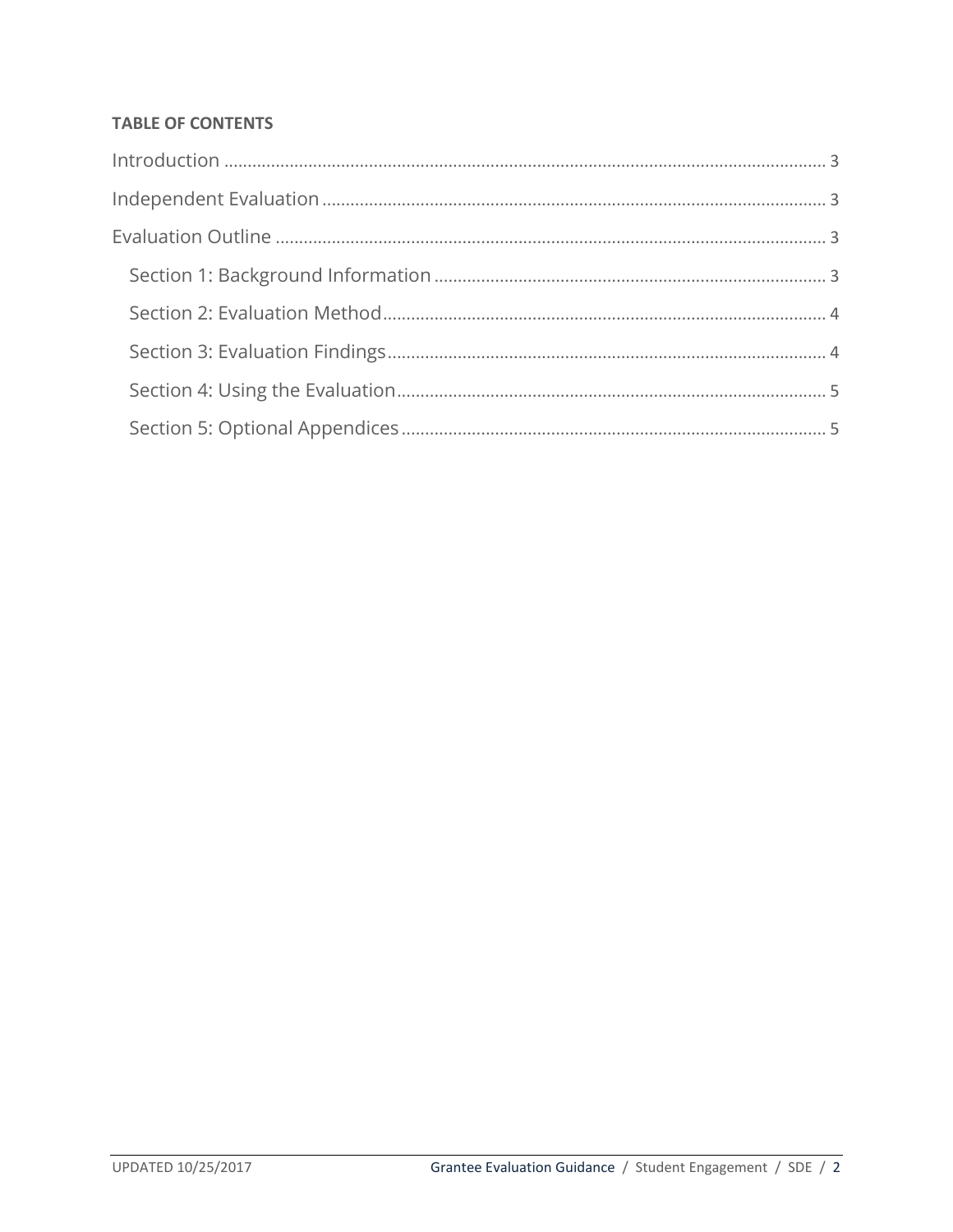### **TABLE OF CONTENTS**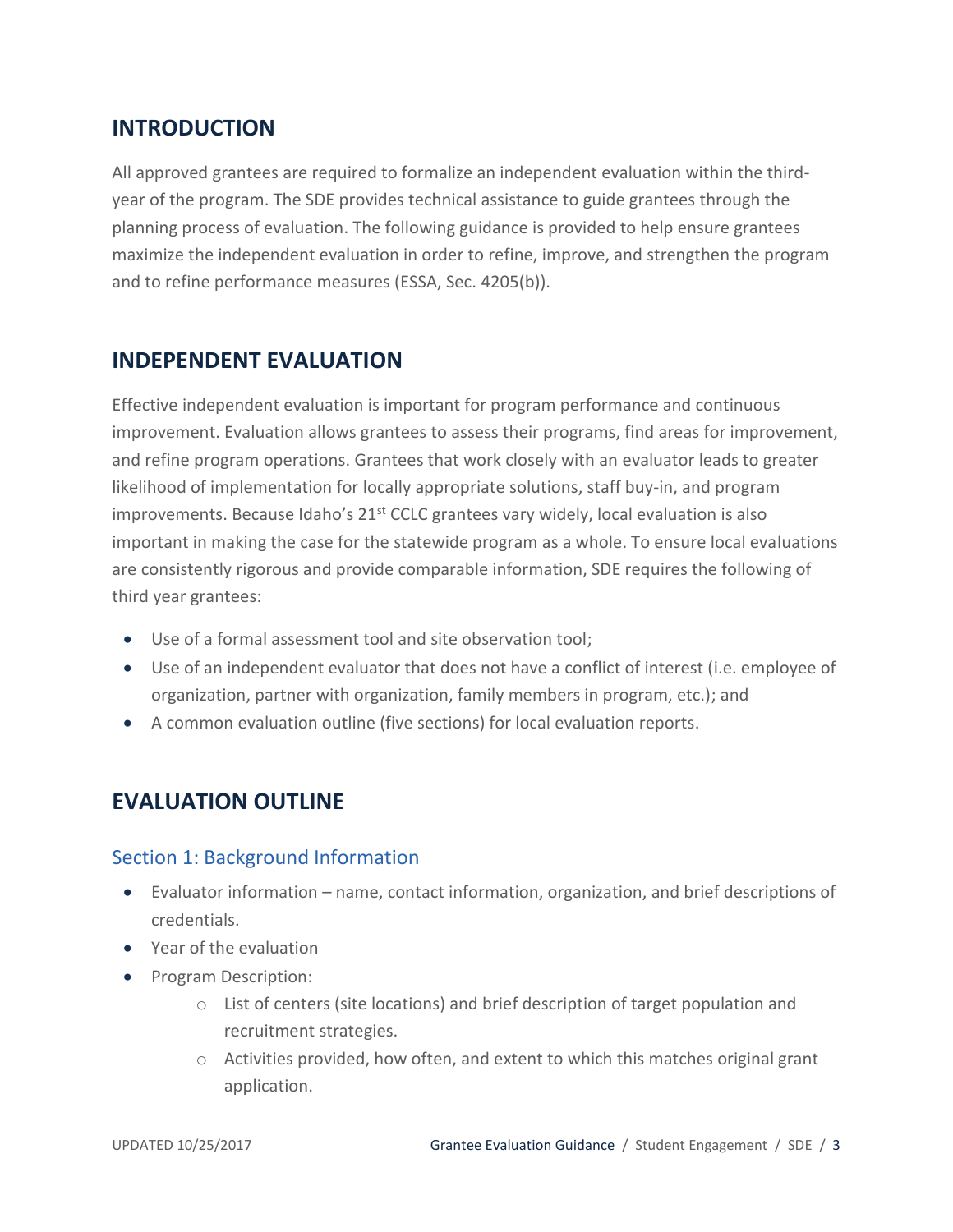## <span id="page-2-0"></span>**INTRODUCTION**

All approved grantees are required to formalize an independent evaluation within the thirdyear of the program. The SDE provides technical assistance to guide grantees through the planning process of evaluation. The following guidance is provided to help ensure grantees maximize the independent evaluation in order to refine, improve, and strengthen the program and to refine performance measures (ESSA, Sec. 4205(b)).

## <span id="page-2-1"></span>**INDEPENDENT EVALUATION**

Effective independent evaluation is important for program performance and continuous improvement. Evaluation allows grantees to assess their programs, find areas for improvement, and refine program operations. Grantees that work closely with an evaluator leads to greater likelihood of implementation for locally appropriate solutions, staff buy-in, and program improvements. Because Idaho's  $21^{st}$  CCLC grantees vary widely, local evaluation is also important in making the case for the statewide program as a whole. To ensure local evaluations are consistently rigorous and provide comparable information, SDE requires the following of third year grantees:

- Use of a formal assessment tool and site observation tool;
- Use of an independent evaluator that does not have a conflict of interest (i.e. employee of organization, partner with organization, family members in program, etc.); and
- <span id="page-2-2"></span>A common evaluation outline (five sections) for local evaluation reports.

## **EVALUATION OUTLINE**

### <span id="page-2-3"></span>Section 1: Background Information

- Evaluator information name, contact information, organization, and brief descriptions of credentials.
- Year of the evaluation
- Program Description:
	- $\circ$  List of centers (site locations) and brief description of target population and recruitment strategies.
	- $\circ$  Activities provided, how often, and extent to which this matches original grant application.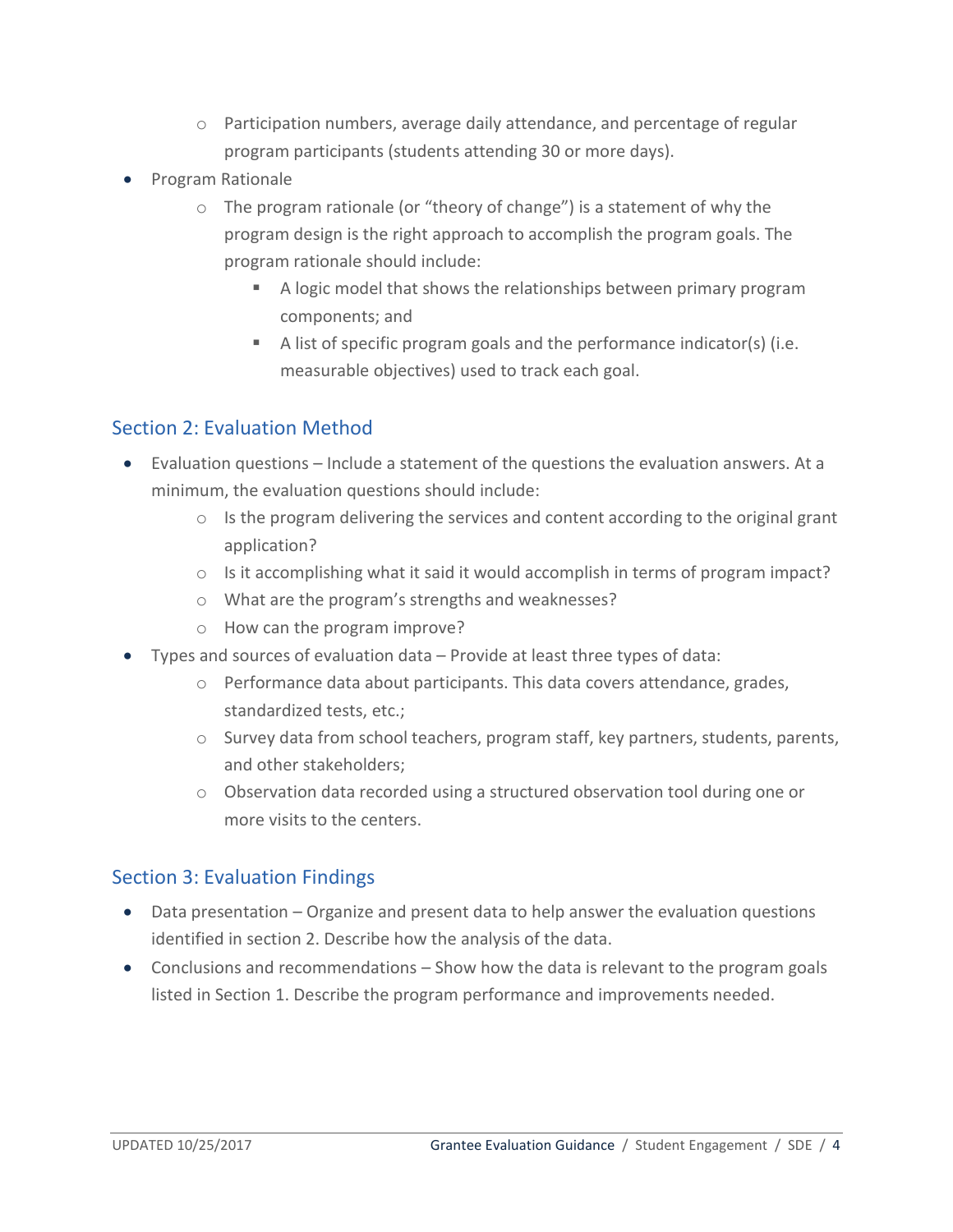- $\circ$  Participation numbers, average daily attendance, and percentage of regular program participants (students attending 30 or more days).
- Program Rationale
	- o The program rationale (or "theory of change") is a statement of why the program design is the right approach to accomplish the program goals. The program rationale should include:
		- A logic model that shows the relationships between primary program components; and
		- A list of specific program goals and the performance indicator(s) (i.e. measurable objectives) used to track each goal.

### <span id="page-3-0"></span>Section 2: Evaluation Method

- Evaluation questions Include a statement of the questions the evaluation answers. At a minimum, the evaluation questions should include:
	- $\circ$  Is the program delivering the services and content according to the original grant application?
	- o Is it accomplishing what it said it would accomplish in terms of program impact?
	- o What are the program's strengths and weaknesses?
	- o How can the program improve?
- Types and sources of evaluation data Provide at least three types of data:
	- $\circ$  Performance data about participants. This data covers attendance, grades, standardized tests, etc.;
	- $\circ$  Survey data from school teachers, program staff, key partners, students, parents, and other stakeholders;
	- $\circ$  Observation data recorded using a structured observation tool during one or more visits to the centers.

#### <span id="page-3-1"></span>Section 3: Evaluation Findings

- Data presentation Organize and present data to help answer the evaluation questions identified in section 2. Describe how the analysis of the data.
- Conclusions and recommendations Show how the data is relevant to the program goals listed in Section 1. Describe the program performance and improvements needed.